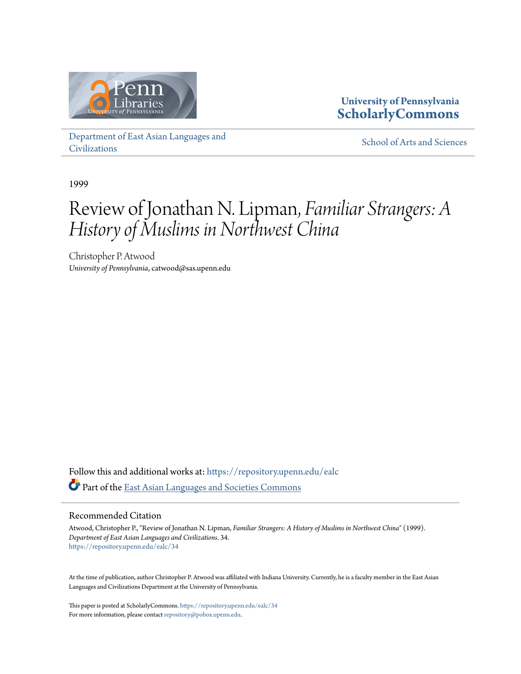

**University of Pennsylvania [ScholarlyCommons](https://repository.upenn.edu?utm_source=repository.upenn.edu%2Fealc%2F34&utm_medium=PDF&utm_campaign=PDFCoverPages)**

[Department of East Asian Languages and](https://repository.upenn.edu/ealc?utm_source=repository.upenn.edu%2Fealc%2F34&utm_medium=PDF&utm_campaign=PDFCoverPages) [Civilizations](https://repository.upenn.edu/ealc?utm_source=repository.upenn.edu%2Fealc%2F34&utm_medium=PDF&utm_campaign=PDFCoverPages)

[School of Arts and Sciences](https://repository.upenn.edu/sas?utm_source=repository.upenn.edu%2Fealc%2F34&utm_medium=PDF&utm_campaign=PDFCoverPages)

1999

## Review of Jonathan N. Lipman, *Familiar Strangers: A History of Muslims in Northwest China*

Christopher P. Atwood *University of Pennsylvania*, catwood@sas.upenn.edu

Follow this and additional works at: [https://repository.upenn.edu/ealc](https://repository.upenn.edu/ealc?utm_source=repository.upenn.edu%2Fealc%2F34&utm_medium=PDF&utm_campaign=PDFCoverPages) Part of the [East Asian Languages and Societies Commons](http://network.bepress.com/hgg/discipline/481?utm_source=repository.upenn.edu%2Fealc%2F34&utm_medium=PDF&utm_campaign=PDFCoverPages)

#### Recommended Citation

Atwood, Christopher P., "Review of Jonathan N. Lipman, *Familiar Strangers: A History of Muslims in Northwest China*" (1999). *Department of East Asian Languages and Civilizations*. 34. [https://repository.upenn.edu/ealc/34](https://repository.upenn.edu/ealc/34?utm_source=repository.upenn.edu%2Fealc%2F34&utm_medium=PDF&utm_campaign=PDFCoverPages)

At the time of publication, author Christopher P. Atwood was affiliated with Indiana University. Currently, he is a faculty member in the East Asian Languages and Civilizations Department at the University of Pennsylvania.

This paper is posted at ScholarlyCommons. <https://repository.upenn.edu/ealc/34> For more information, please contact [repository@pobox.upenn.edu.](mailto:repository@pobox.upenn.edu)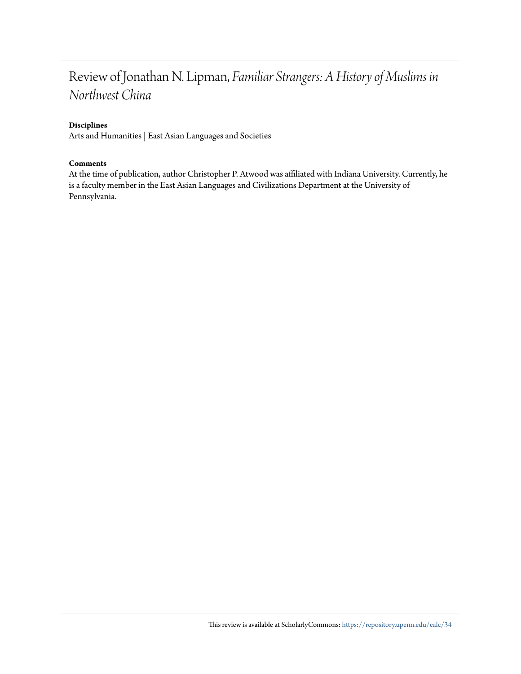### Review of Jonathan N. Lipman, *Familiar Strangers: A History of Muslims in Northwest China*

#### **Disciplines**

Arts and Humanities | East Asian Languages and Societies

#### **Comments**

At the time of publication, author Christopher P. Atwood was affiliated with Indiana University. Currently, he is a faculty member in the East Asian Languages and Civilizations Department at the University of Pennsylvania.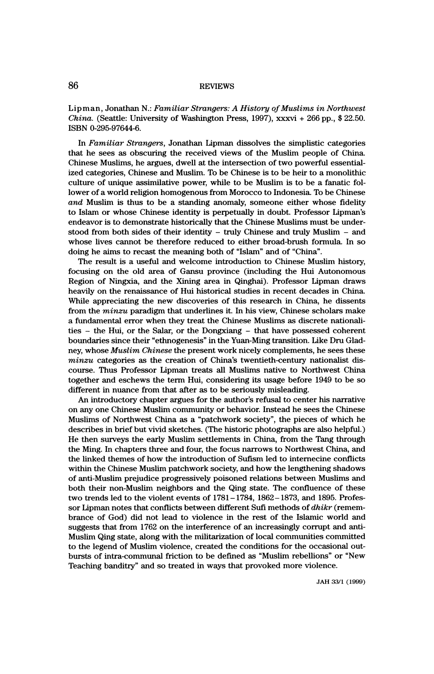# 86 REVIEWS

 Lipman, Jonathan N.: Familiar Strangers: A History of Muslims in Northwest China. (Seattle: University of Washington Press, 1997), xxxvi + 266 pp., \$ 22.50. ISBN 0-295-97644-6.

In Familiar Strangers, Jonathan Lipman dissolves the simplistic categories that he sees as obscuring the received views of the Muslim people of China. Chinese Muslims, he argues, dwell at the intersection of two powerful essential ized categories, Chinese and Muslim. To be Chinese is to be heir to a monolithic culture of unique assimilative power, while to be Muslim is to be a fanatic fol lower of a world religion homogenous from Morocco to Indonesia. To be Chinese and Muslim is thus to be a standing anomaly, someone either whose fidelity to Islam or whose Chinese identity is perpetually in doubt. Professor Lipman's endeavor is to demonstrate historically that the Chinese Muslims must be under stood from both sides of their identity - truly Chinese and truly Muslim - and whose lives cannot be therefore reduced to either broad-brush formula. In so doing he aims to recast the meaning both of "Islam" and of "China".

 The result is a useful and welcome introduction to Chinese Muslim history, focusing on the old area of Gansu province (including the Hui Autonomous Region of Ningxia, and the Xining area in Qinghai). Professor Lipman draws heavily on the renaissance of Hui historical studies in recent decades in China. While appreciating the new discoveries of this research in China, he dissents from the *minzu* paradigm that underlines it. In his view, Chinese scholars make a fundamental error when they treat the Chinese Muslims as discrete nationali ties - the Hui, or the Salar, or the Dongxiang - that have possessed coherent boundaries since their "ethnogenesis" in the Yuan-Ming transition. Like Dru Glad ney, whose *Muslim Chinese* the present work nicely complements, he sees these minzu categories as the creation of China's twentieth-century nationalist dis course. Thus Professor Lipman treats all Muslims native to Northwest China together and eschews the term Hui, considering its usage before 1949 to be so different in nuance from that after as to be seriously misleading.

 An introductory chapter argues for the author's refusal to center his narrative on any one Chinese Muslim community or behavior. Instead he sees the Chinese Muslims of Northwest China as a "patchwork society", the pieces of which he describes in brief but vivid sketches. (The historic photographs are also helpful.) He then surveys the early Muslim settlements in China, from the Tang through the Ming. In chapters three and four, the focus narrows to Northwest China, and the linked themes of how the introduction of Sufism led to internecine conflicts within the Chinese Muslim patchwork society, and how the lengthening shadows of anti-Muslim prejudice progressively poisoned relations between Muslims and both their non-Muslim neighbors and the Qing state. The confluence of these two trends led to the violent events of 1781-1784, 1862-1873, and 1895. Profes sor Lipman notes that conflicts between different Sufi methods of dhikr (remem brance of God) did not lead to violence in the rest of the Islamic world and suggests that from 1762 on the interference of an increasingly corrupt and anti- Muslim Qing state, along with the militarization of local communities committed to the legend of Muslim violence, created the conditions for the occasional out bursts of intra-communal friction to be defined as "Muslim rebellions" or "New Teaching banditry" and so treated in ways that provoked more violence.

JAH 33/1 (1999)